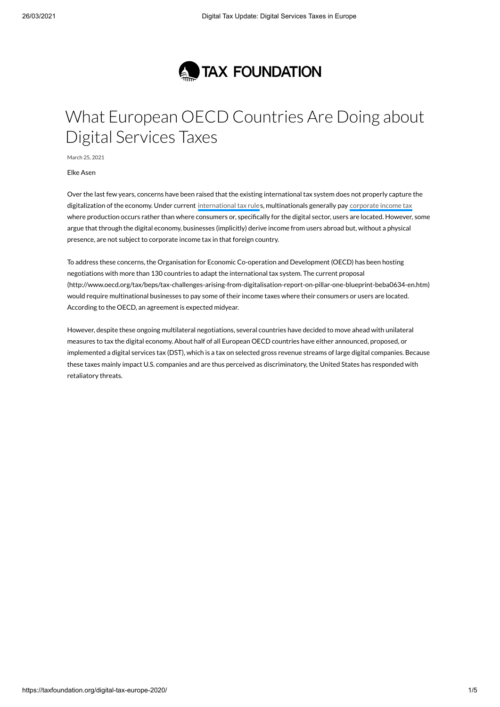

## What European OECD Countries Are Doing about Digital Services Taxes

March 25, 2021

Elke Asen

Over the last few years, concerns have been raised that the existing international tax system does not properly capture the digitalization of the economy. Under current [international](https://taxfoundation.org/tax-basics/international-tax-rules/) tax rules, multinationals generally pay [corporate](https://taxfoundation.org/tax-basics/corporate-income-tax-cit/) income tax where production occurs rather than where consumers or, specifically for the digital sector, users are located. However, some argue that through the digital economy, businesses (implicitly) derive income from users abroad but, without a physical presence, are not subject to corporate income tax in that foreign country.

To address these concerns, the Organisation for Economic Co-operation and Development (OECD) has been hosting negotiations with more than 130 countries to adapt the international tax system. The current proposal [\(http://www.oecd.org/tax/beps/tax-challenges-arising-from-digitalisation-report-on-pillar-one-blueprint-beba0634-en.htm\)](http://www.oecd.org/tax/beps/tax-challenges-arising-from-digitalisation-report-on-pillar-one-blueprint-beba0634-en.htm) would require multinational businesses to pay some of their income taxes where their consumers or users are located. According to the OECD, an agreement is expected midyear.

However, despite these ongoing multilateral negotiations, several countries have decided to move ahead with unilateral measures to tax the digital economy. About half of all European OECD countries have either announced, proposed, or implemented a digital services tax (DST), which is a tax on selected gross revenue streams of large digital companies. Because these taxes mainly impact U.S. companies and are thus perceived as discriminatory, the United States has responded with [retaliatory](https://taxfoundation.org/us-trade-representative-ustr-digital-services-tax-investigations/) threats.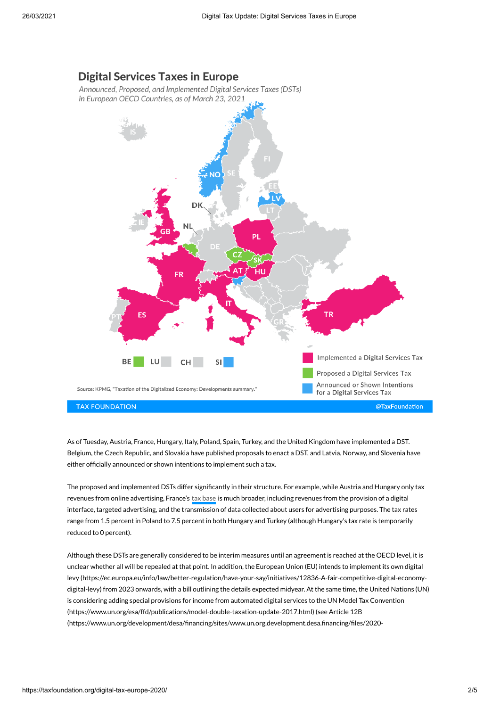## **Digital Services Taxes in Europe**

Announced, Proposed, and Implemented Digital Services Taxes (DSTs) in European OECD Countries, as of March 23, 2021



As of Tuesday, Austria, France, Hungary, Italy, Poland, Spain, Turkey, and the United Kingdom have implemented a DST. Belgium, the Czech Republic, and Slovakia have published proposals to enact a DST, and Latvia, Norway, and Slovenia have either officially announced or shown intentions to implement such a tax.

The proposed and implemented DSTs differ significantly in their structure. For example, while Austria and Hungary only tax revenues from online advertising, France's tax [base](https://taxfoundation.org/tax-basics/tax-base/) is much broader, including revenues from the provision of a digital interface, targeted advertising, and the transmission of data collected about users for advertising purposes. The tax rates range from 1.5 percent in Poland to 7.5 percent in both Hungary and Turkey (although Hungary's tax rate is temporarily reduced to 0 percent).

Although these DSTs are generally considered to be interim measures until an agreement is reached at the OECD level, it is unclear whether all will be repealed at that point. In addition, the European Union (EU) intends to implement its own digital levy [\(https://ec.europa.eu/info/law/better-regulation/have-your-say/initiatives/12836-A-fair-competitive-digital-economy](https://ec.europa.eu/info/law/better-regulation/have-your-say/initiatives/12836-A-fair-competitive-digital-economy-digital-levy)digital-levy) from 2023 onwards, with a bill outlining the details expected midyear. At the same time, the United Nations (UN) is considering adding special provisions for income from automated digital services to the UN Model Tax Convention [\(https://www.un.org/esa/ffd/publications/model-double-taxation-update-2017.html\)](https://www.un.org/esa/ffd/publications/model-double-taxation-update-2017.html) (see Article 12B (https://www.un.org/development/desa/financing/sites/www.un.org.development.desa.financing/files/2020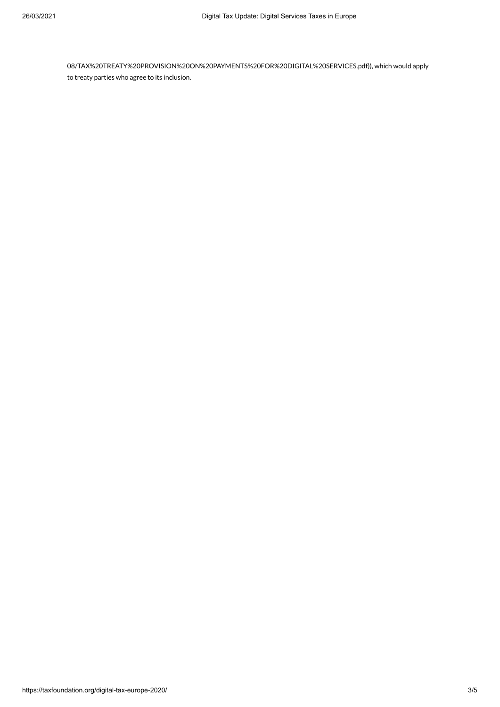[08/TAX%20TREATY%20PROVISION%20ON%20PAYMENTS%20FOR%20DIGITAL%20SERVICES.pdf\)\),](https://www.un.org/development/desa/financing/sites/www.un.org.development.desa.financing/files/2020-08/TAX%20TREATY%20PROVISION%20ON%20PAYMENTS%20FOR%20DIGITAL%20SERVICES.pdf) which would apply to treaty parties who agree to its inclusion.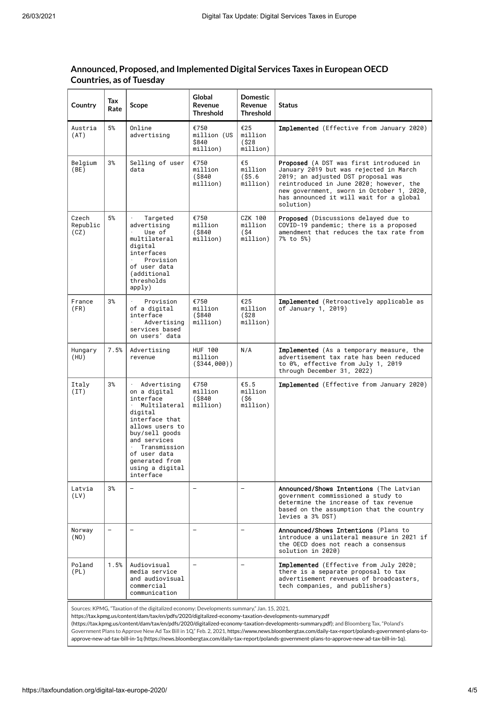| Country                   | Tax<br>Rate              | Scope                                                                                                                                                                                                                        | Global<br>Revenue<br><b>Threshold</b>         | <b>Domestic</b><br>Revenue<br><b>Threshold</b> | <b>Status</b>                                                                                                                                                                                                                                                           |
|---------------------------|--------------------------|------------------------------------------------------------------------------------------------------------------------------------------------------------------------------------------------------------------------------|-----------------------------------------------|------------------------------------------------|-------------------------------------------------------------------------------------------------------------------------------------------------------------------------------------------------------------------------------------------------------------------------|
| Austria<br>(AT)           | 5%                       | Online<br>advertising                                                                                                                                                                                                        | €750<br>million (US<br>\$840<br>million)      | €25<br>million<br>$($ \$28<br>million)         | Implemented (Effective from January 2020)                                                                                                                                                                                                                               |
| Belgium<br>(BE)           | 3%                       | Selling of user<br>data                                                                                                                                                                                                      | €750<br>million<br>$($ \$840<br>million)      | €5<br>million<br>$($ \$5.6<br>million)         | Proposed (A DST was first introduced in<br>January 2019 but was rejected in March<br>2019; an adjusted DST proposal was<br>reintroduced in June 2020; however, the<br>new government, sworn in October 1, 2020,<br>has announced it will wait for a global<br>solution) |
| Czech<br>Republic<br>(CZ) | 5%                       | Targeted<br>advertising<br>Use of<br>multilateral<br>digital<br>interfaces<br>Provision<br>of user data<br>(additional<br>thresholds<br>apply)                                                                               | €750<br>million<br>$($ \$840<br>million)      | CZK 100<br>million<br>(\$4<br>million)         | <b>Proposed</b> (Discussions delayed due to<br>COVID-19 pandemic; there is a proposed<br>amendment that reduces the tax rate from<br>7% to 5%)                                                                                                                          |
| France<br>(FR)            | 3%                       | Provision<br>of a digital<br>interface<br>Advertising<br>services based<br>on users' data                                                                                                                                    | €750<br>million<br>$($ \$840<br>million)      | €25<br>million<br>$($ \$28<br>million)         | <b>Implemented</b> (Retroactively applicable as<br>of January 1, 2019)                                                                                                                                                                                                  |
| Hungary<br>(HU)           | 7.5%                     | Advertising<br>revenue                                                                                                                                                                                                       | <b>HUF 100</b><br>million<br>$( $344, 000)$ ) | N/A                                            | <b>Implemented</b> (As a temporary measure, the<br>advertisement tax rate has been reduced<br>to 0%, effective from July 1, 2019<br>through December 31, 2022)                                                                                                          |
| Italy<br>(TT)             | 3%                       | Advertising<br>on a digital<br>interface<br>Multilateral<br>digital<br>interface that<br>allows users to<br>buy/sell goods<br>and services<br>Transmission<br>of user data<br>generated from<br>using a digital<br>interface | €750<br>million<br>$($ \$840<br>million)      | € $5.5$<br>million<br>(\$6<br>million)         | Implemented (Effective from January 2020)                                                                                                                                                                                                                               |
| Latvia<br>(LV)            | 3%                       | $\overline{\phantom{0}}$                                                                                                                                                                                                     | $\overline{\phantom{0}}$                      | $\overline{\phantom{0}}$                       | Announced/Shows Intentions (The Latvian<br>government commissioned a study to<br>determine the increase of tax revenue<br>based on the assumption that the country<br>levies a 3% DST)                                                                                  |
| Norway<br>(NO)            | $\overline{\phantom{0}}$ | $\overline{a}$                                                                                                                                                                                                               | $\overline{a}$                                | $\overline{\phantom{0}}$                       | Announced/Shows Intentions (Plans to<br>introduce a unilateral measure in 2021 if<br>the OECD does not reach a consensus<br>solution in 2020)                                                                                                                           |
| Poland<br>(PL)            | 1.5%                     | Audiovisual<br>media service<br>and audiovisual<br>commercial<br>communication                                                                                                                                               | $\overline{\phantom{0}}$                      | $\equiv$                                       | Implemented (Effective from July 2020;<br>there is a separate proposal to tax<br>advertisement revenues of broadcasters,<br>tech companies, and publishers)                                                                                                             |

## **Announced, Proposed, and Implemented Digital Services Taxes in European OECD Countries, as of Tuesday**

Sources: KPMG, "Taxation of the digitalized economy: Developments summary," Jan. 15, 2021,

https://tax.kpmg.us/content/dam/tax/en/pdfs/2020/digitalized-economy-taxation-developments-summary.pdf

[\(https://tax.kpmg.us/content/dam/tax/en/pdfs/2020/digitalized-economy-taxation-developments-summary.pdf\)](https://tax.kpmg.us/content/dam/tax/en/pdfs/2020/digitalized-economy-taxation-developments-summary.pdf); and Bloomberg Tax, "Poland's Government Plans to Approve New Ad Tax Bill in 1Q," Feb. 2, 2021, https://www.news.bloombergtax.com/daily-tax-report/polands-government-plans-toapprove-new-ad-tax-bill-in-1q [\(https://news.bloombergtax.com/daily-tax-report/polands-government-plans-to-approve-new-ad-tax-bill-in-1q\).](https://news.bloombergtax.com/daily-tax-report/polands-government-plans-to-approve-new-ad-tax-bill-in-1q)